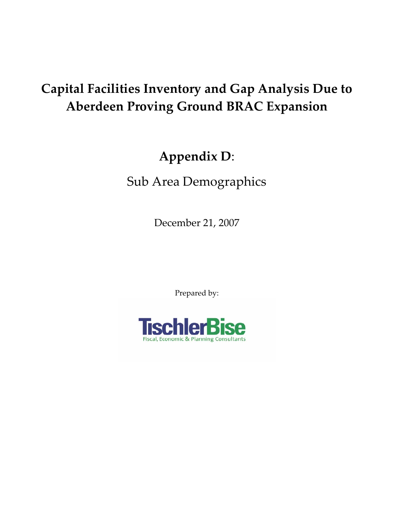# **Capital Facilities Inventory and Gap Analysis Due to Aberdeen Proving Ground BRAC Expansion**

# **Appendix D**:

Sub Area Demographics

December 21, 2007

Prepared by:

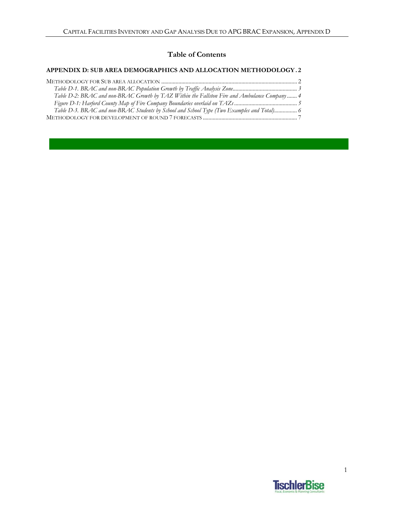#### **Table of Contents**

#### **APPENDIX D: SUB AREA DEMOGRAPHICS AND ALLOCATION METHODOLOGY . 2**

| Table D-2: BRAC and non-BRAC Growth by TAZ Within the Fallston Fire and Ambulance Company 4 |  |
|---------------------------------------------------------------------------------------------|--|
|                                                                                             |  |
| Table D-3. BRAC and non-BRAC Students by School and School Type (Two Examples and Total) 6  |  |
|                                                                                             |  |

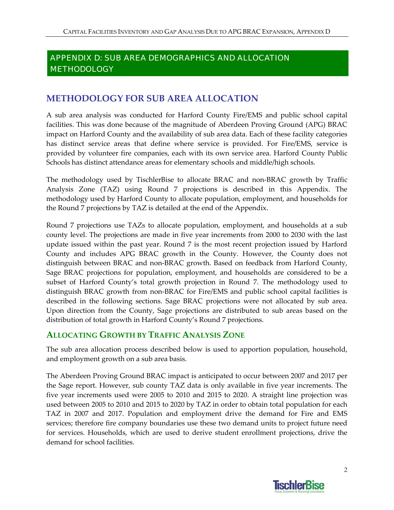# APPENDIX D: SUB AREA DEMOGRAPHICS AND ALLOCATION **METHODOLOGY**

# **METHODOLOGY FOR SUB AREA ALLOCATION**

A sub area analysis was conducted for Harford County Fire/EMS and public school capital facilities. This was done because of the magnitude of Aberdeen Proving Ground (APG) BRAC impact on Harford County and the availability of sub area data. Each of these facility categories has distinct service areas that define where service is provided. For Fire/EMS, service is provided by volunteer fire companies, each with its own service area. Harford County Public Schools has distinct attendance areas for elementary schools and middle/high schools.

The methodology used by TischlerBise to allocate BRAC and non‐BRAC growth by Traffic Analysis Zone (TAZ) using Round 7 projections is described in this Appendix. The methodology used by Harford County to allocate population, employment, and households for the Round 7 projections by TAZ is detailed at the end of the Appendix.

Round 7 projections use TAZs to allocate population, employment, and households at a sub county level. The projections are made in five year increments from 2000 to 2030 with the last update issued within the past year. Round 7 is the most recent projection issued by Harford County and includes APG BRAC growth in the County. However, the County does not distinguish between BRAC and non‐BRAC growth. Based on feedback from Harford County, Sage BRAC projections for population, employment, and households are considered to be a subset of Harford County's total growth projection in Round 7. The methodology used to distinguish BRAC growth from non‐BRAC for Fire/EMS and public school capital facilities is described in the following sections. Sage BRAC projections were not allocated by sub area. Upon direction from the County, Sage projections are distributed to sub areas based on the distribution of total growth in Harford County's Round 7 projections.

## **ALLOCATING GROWTH BY TRAFFIC ANALYSIS ZONE**

The sub area allocation process described below is used to apportion population, household, and employment growth on a sub area basis.

The Aberdeen Proving Ground BRAC impact is anticipated to occur between 2007 and 2017 per the Sage report. However, sub county TAZ data is only available in five year increments. The five year increments used were 2005 to 2010 and 2015 to 2020. A straight line projection was used between 2005 to 2010 and 2015 to 2020 by TAZ in order to obtain total population for each TAZ in 2007 and 2017. Population and employment drive the demand for Fire and EMS services; therefore fire company boundaries use these two demand units to project future need for services. Households, which are used to derive student enrollment projections, drive the demand for school facilities.

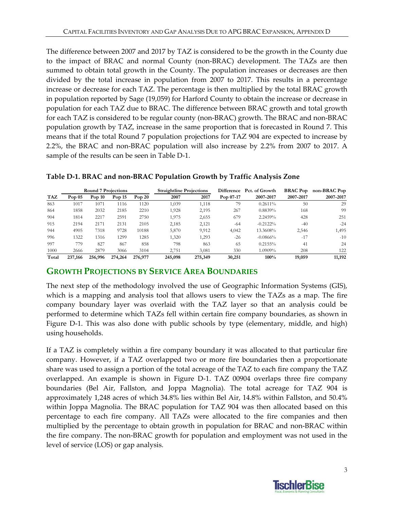The difference between 2007 and 2017 by TAZ is considered to be the growth in the County due to the impact of BRAC and normal County (non‐BRAC) development. The TAZs are then summed to obtain total growth in the County. The population increases or decreases are then divided by the total increase in population from 2007 to 2017. This results in a percentage increase or decrease for each TAZ. The percentage is then multiplied by the total BRAC growth in population reported by Sage (19,059) for Harford County to obtain the increase or decrease in population for each TAZ due to BRAC. The difference between BRAC growth and total growth for each TAZ is considered to be regular county (non‐BRAC) growth. The BRAC and non‐BRAC population growth by TAZ, increase in the same proportion that is forecasted in Round 7. This means that if the total Round 7 population projections for TAZ 904 are expected to increase by 2.2%, the BRAC and non‐BRAC population will also increase by 2.2% from 2007 to 2017. A sample of the results can be seen in Table D-1.

|            | <b>Round 7 Projections</b> |          |          |          | <b>Straightline Projections</b> |         | Difference  | Pct. of Growth | <b>BRAC</b> Pop | non-BRAC Pop |
|------------|----------------------------|----------|----------|----------|---------------------------------|---------|-------------|----------------|-----------------|--------------|
| <b>TAZ</b> | Pop $05$                   | Pop $10$ | Pop $15$ | Pop $20$ | 2007                            | 2017    | Pop $07-17$ | 2007-2017      | 2007-2017       | 2007-2017    |
| 863        | 1017                       | 1071     | 1116     | 1120     | 1,039                           | 1,118   | 79          | 0.2611%        | 50              | 29           |
| 864        | 1858                       | 2032     | 2185     | 2210     | 1,928                           | 2,195   | 267         | 0.8839%        | 168             | 99           |
| 904        | 1814                       | 2217     | 2591     | 2750     | 1,975                           | 2,655   | 679         | 2.2459%        | 428             | 251          |
| 915        | 2194                       | 2171     | 2131     | 2105     | 2,185                           | 2,121   | $-64$       | $-0.2122%$     | $-40$           | $-24$        |
| 944        | 4905                       | 7318     | 9728     | 10188    | 5,870                           | 9,912   | 4,042       | 13.3608%       | 2,546           | 1,495        |
| 996        | 1322                       | 1316     | 1299     | 1285     | 1,320                           | .293    | $-26$       | $-0.0866%$     | $-17$           | $-10$        |
| 997        | 779                        | 827      | 867      | 858      | 798                             | 863     | 65          | 0.2155%        | 41              | 24           |
| 1000       | 2666                       | 2879     | 3066     | 3104     | 2,751                           | 3,081   | 330         | 1.0909%        | 208             | 122          |
| Total      | 237,166                    | 256,996  | 274,264  | 276,977  | 245,098                         | 275,349 | 30,251      | 100%           | 19,059          | 11,192       |

#### **Table D‐1. BRAC and non‐BRAC Population Growth by Traffic Analysis Zone**

#### **GROWTH PROJECTIONS BY SERVICE AREA BOUNDARIES**

The next step of the methodology involved the use of Geographic Information Systems (GIS), which is a mapping and analysis tool that allows users to view the TAZs as a map. The fire company boundary layer was overlaid with the TAZ layer so that an analysis could be performed to determine which TAZs fell within certain fire company boundaries, as shown in Figure D-1. This was also done with public schools by type (elementary, middle, and high) using households.

If a TAZ is completely within a fire company boundary it was allocated to that particular fire company. However, if a TAZ overlapped two or more fire boundaries then a proportionate share was used to assign a portion of the total acreage of the TAZ to each fire company the TAZ overlapped. An example is shown in Figure D‐1. TAZ 00904 overlaps three fire company boundaries (Bel Air, Fallston, and Joppa Magnolia). The total acreage for TAZ 904 is approximately 1,248 acres of which 34.8% lies within Bel Air, 14.8% within Fallston, and 50.4% within Joppa Magnolia. The BRAC population for TAZ 904 was then allocated based on this percentage to each fire company. All TAZs were allocated to the fire companies and then multiplied by the percentage to obtain growth in population for BRAC and non‐BRAC within the fire company. The non‐BRAC growth for population and employment was not used in the level of service (LOS) or gap analysis.

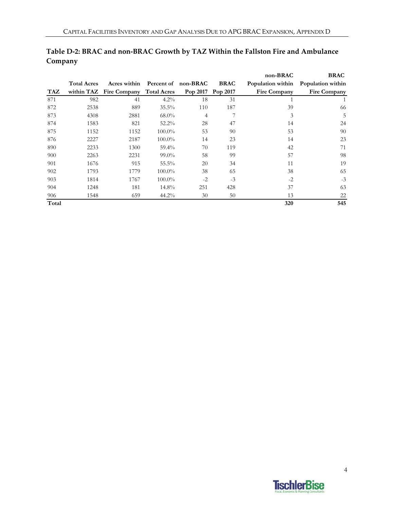|       |                    |                                     |           |          |             | non-BRAC     | <b>BRAC</b>                         |
|-------|--------------------|-------------------------------------|-----------|----------|-------------|--------------|-------------------------------------|
|       | <b>Total Acres</b> | Acres within Percent of non-BRAC    |           |          | <b>BRAC</b> |              | Population within Population within |
| TAZ   |                    | within TAZ Fire Company Total Acres |           | Pop 2017 | Pop 2017    | Fire Company | <b>Fire Company</b>                 |
| 871   | 982                | 41                                  | $4.2\%$   | 18       | 31          |              |                                     |
| 872   | 2538               | 889                                 | $35.5\%$  | 110      | 187         | 39           | 66                                  |
| 873   | 4308               | 2881                                | $68.0\%$  | 4        | 7           | 3            | 5                                   |
| 874   | 1583               | 821                                 | $52.2\%$  | 28       | 47          | 14           | 24                                  |
| 875   | 1152               | 1152                                | $100.0\%$ | 53       | 90          | 53           | 90                                  |
| 876   | 2227               | 2187                                | $100.0\%$ | 14       | 23          | 14           | 23                                  |
| 890   | 2233               | 1300                                | $59.4\%$  | 70       | 119         | 42           | 71                                  |
| 900   | 2263               | 2231                                | $99.0\%$  | 58       | 99          | 57           | 98                                  |
| 901   | 1676               | 915                                 | $55.5\%$  | 20       | 34          | 11           | 19                                  |
| 902   | 1793               | 1779                                | $100.0\%$ | 38       | 65          | 38           | 65                                  |
| 903   | 1814               | 1767                                | $100.0\%$ | $-2$     | $-3$        | $-2$         | $-3$                                |
| 904   | 1248               | 181                                 | $14.8\%$  | 251      | 428         | 37           | 63                                  |
| 906   | 1548               | 659                                 | $44.2\%$  | 30       | 50          | 13           | 22                                  |
| Total |                    |                                     |           |          |             | 320          | 545                                 |

### **Table D‐2: BRAC and non‐BRAC Growth by TAZ Within the Fallston Fire and Ambulance Company**

**TischlerBise**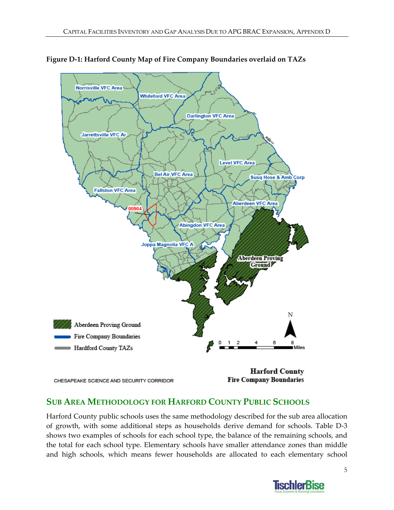

**Figure D‐1: Harford County Map of Fire Company Boundaries overlaid on TAZs**

## **SUB AREA METHODOLOGY FOR HARFORD COUNTY PUBLIC SCHOOLS**

Harford County public schools uses the same methodology described for the sub area allocation of growth, with some additional steps as households derive demand for schools. Table D‐3 shows two examples of schools for each school type, the balance of the remaining schools, and the total for each school type. Elementary schools have smaller attendance zones than middle and high schools, which means fewer households are allocated to each elementary school

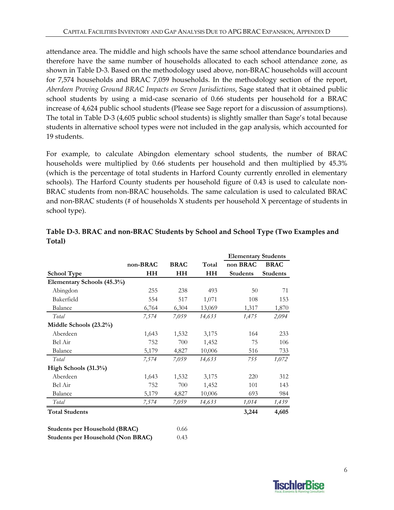attendance area. The middle and high schools have the same school attendance boundaries and therefore have the same number of households allocated to each school attendance zone, as shown in Table D-3. Based on the methodology used above, non-BRAC households will account for 7,574 households and BRAC 7,059 households. In the methodology section of the report, *Aberdeen Proving Ground BRAC Impacts on Seven Jurisdictions*, Sage stated that it obtained public school students by using a mid‐case scenario of 0.66 students per household for a BRAC increase of 4,624 public school students (Please see Sage report for a discussion of assumptions). The total in Table D‐3 (4,605 public school students) is slightly smaller than Sage's total because students in alternative school types were not included in the gap analysis, which accounted for 19 students.

For example, to calculate Abingdon elementary school students, the number of BRAC households were multiplied by 0.66 students per household and then multiplied by 45.3% (which is the percentage of total students in Harford County currently enrolled in elementary schools). The Harford County students per household figure of 0.43 is used to calculate non‐ BRAC students from non‐BRAC households. The same calculation is used to calculated BRAC and non-BRAC students (# of households X students per household X percentage of students in school type).

|                                                      |           |             |        | <b>Elementary Students</b> |                 |  |
|------------------------------------------------------|-----------|-------------|--------|----------------------------|-----------------|--|
|                                                      | non-BRAC  | <b>BRAC</b> | Total  | non BRAC                   | <b>BRAC</b>     |  |
| <b>School Type</b>                                   | <b>HH</b> | <b>HH</b>   | HH     | <b>Students</b>            | <b>Students</b> |  |
| Elementary Schools (45.3%)                           |           |             |        |                            |                 |  |
| Abingdon                                             | 255       | 238         | 493    | 50                         | 71              |  |
| Bakerfield                                           | 554       | 517         | 1,071  | 108                        | 153             |  |
| Balance                                              | 6,764     | 6,304       | 13,069 | 1,317                      | 1,870           |  |
| Total                                                | 7,574     | 7,059       | 14,633 | 1,475                      | 2,094           |  |
| Middle Schools (23.2%)                               |           |             |        |                            |                 |  |
| Aberdeen                                             | 1,643     | 1,532       | 3,175  | 164                        | 233             |  |
| Bel Air                                              | 752       | 700         | 1,452  | 75                         | 106             |  |
| Balance                                              | 5,179     | 4,827       | 10,006 | 516                        | 733             |  |
| Total                                                | 7,574     | 7,059       | 14,633 | 755                        | 1,072           |  |
| High Schools (31.3%)                                 |           |             |        |                            |                 |  |
| Aberdeen                                             | 1,643     | 1,532       | 3,175  | 220                        | 312             |  |
| Bel Air                                              | 752       | 700         | 1,452  | 101                        | 143             |  |
| Balance                                              | 5,179     | 4,827       | 10,006 | 693                        | 984             |  |
| Total                                                | 7,574     | 7,059       | 14,633 | 1,014                      | 1,439           |  |
| <b>Total Students</b>                                |           |             |        | 3,244                      | 4,605           |  |
|                                                      |           |             |        |                            |                 |  |
| $\mathbf{C}_{\mathbf{t}}$ dents not Household (DDAC) |           | 0.66        |        |                            |                 |  |

**Table D‐3. BRAC and non‐BRAC Students by School and School Type (Two Examples and Total)**